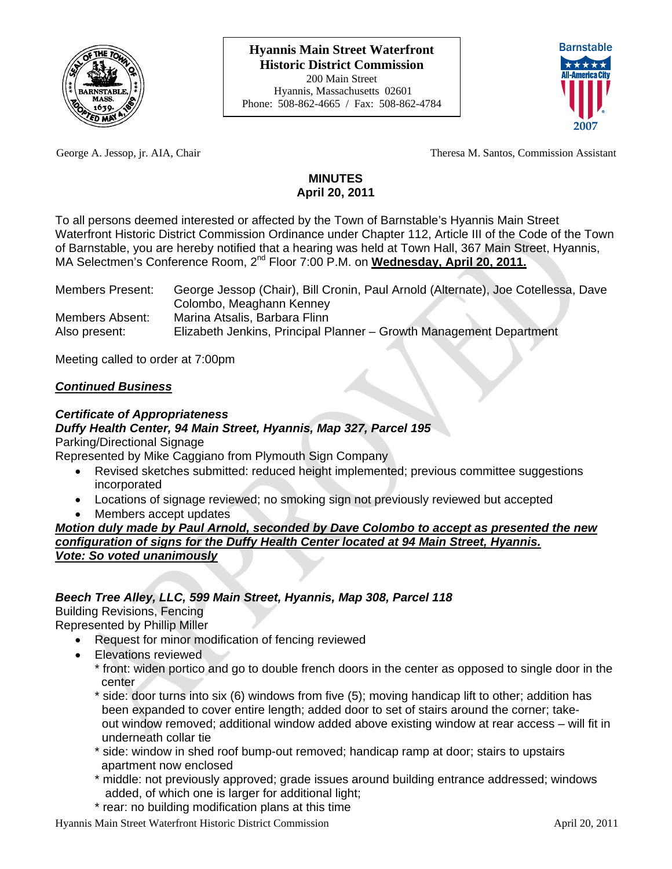



George A. Jessop, jr. AIA, Chair Theresa M. Santos, Commission Assistant

# **MINUTES April 20, 2011**

To all persons deemed interested or affected by the Town of Barnstable's Hyannis Main Street Waterfront Historic District Commission Ordinance under Chapter 112, Article III of the Code of the Town of Barnstable, you are hereby notified that a hearing was held at Town Hall, 367 Main Street, Hyannis, MA Selectmen's Conference Room, 2<sup>nd</sup> Floor 7:00 P.M. on **Wednesday, April 20, 2011.** 

| <b>Members Present:</b> | George Jessop (Chair), Bill Cronin, Paul Arnold (Alternate), Joe Cotellessa, Dave |
|-------------------------|-----------------------------------------------------------------------------------|
|                         | Colombo, Meaghann Kenney                                                          |
| Members Absent:         | Marina Atsalis, Barbara Flinn                                                     |
| Also present:           | Elizabeth Jenkins, Principal Planner - Growth Management Department               |

Meeting called to order at 7:00pm

# *Continued Business*

# *Certificate of Appropriateness*

# *Duffy Health Center, 94 Main Street, Hyannis, Map 327, Parcel 195*

Parking/Directional Signage

Represented by Mike Caggiano from Plymouth Sign Company

- Revised sketches submitted: reduced height implemented; previous committee suggestions incorporated
- Locations of signage reviewed; no smoking sign not previously reviewed but accepted
- Members accept updates

## *Motion duly made by Paul Arnold, seconded by Dave Colombo to accept as presented the new configuration of signs for the Duffy Health Center located at 94 Main Street, Hyannis. Vote: So voted unanimously*

# *Beech Tree Alley, LLC, 599 Main Street, Hyannis, Map 308, Parcel 118*

Building Revisions, Fencing

Represented by Phillip Miller

- Request for minor modification of fencing reviewed
- Elevations reviewed
	- \* front: widen portico and go to double french doors in the center as opposed to single door in the center
	- \* side: door turns into six (6) windows from five (5); moving handicap lift to other; addition has been expanded to cover entire length; added door to set of stairs around the corner; take out window removed; additional window added above existing window at rear access – will fit in underneath collar tie
	- \* side: window in shed roof bump-out removed; handicap ramp at door; stairs to upstairs apartment now enclosed
	- \* middle: not previously approved; grade issues around building entrance addressed; windows added, of which one is larger for additional light;
	- \* rear: no building modification plans at this time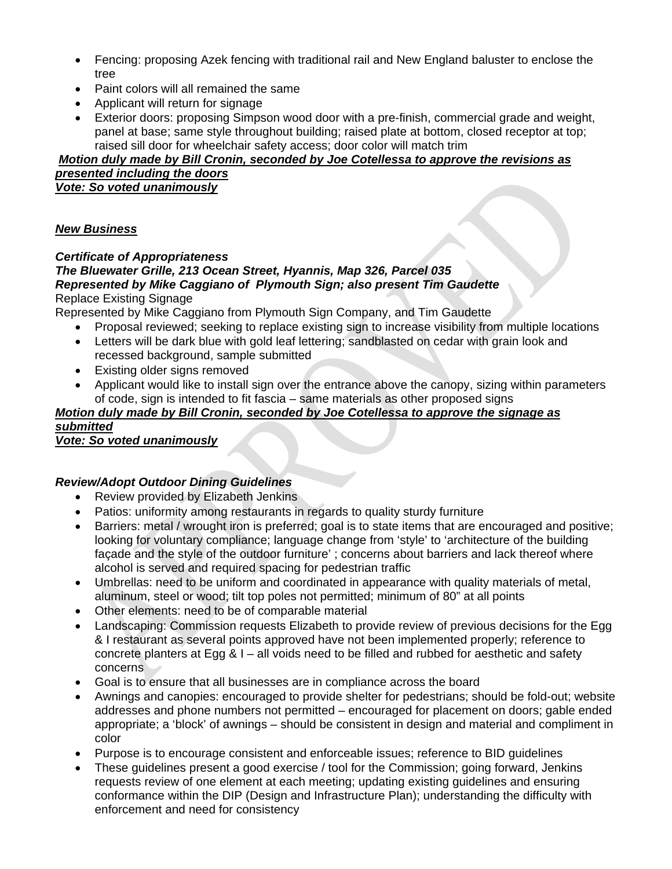- Fencing: proposing Azek fencing with traditional rail and New England baluster to enclose the tree
- Paint colors will all remained the same
- Applicant will return for signage
- Exterior doors: proposing Simpson wood door with a pre-finish, commercial grade and weight, panel at base; same style throughout building; raised plate at bottom, closed receptor at top; raised sill door for wheelchair safety access; door color will match trim

## *Motion duly made by Bill Cronin, seconded by Joe Cotellessa to approve the revisions as presented including the doors Vote: So voted unanimously*

## *New Business*

## *Certificate of Appropriateness*

#### *The Bluewater Grille, 213 Ocean Street, Hyannis, Map 326, Parcel 035 Represented by Mike Caggiano of Plymouth Sign; also present Tim Gaudette*  Replace Existing Signage

Represented by Mike Caggiano from Plymouth Sign Company, and Tim Gaudette

- Proposal reviewed; seeking to replace existing sign to increase visibility from multiple locations
- Letters will be dark blue with gold leaf lettering; sandblasted on cedar with grain look and recessed background, sample submitted
- Existing older signs removed
- Applicant would like to install sign over the entrance above the canopy, sizing within parameters of code, sign is intended to fit fascia – same materials as other proposed signs

#### *Motion duly made by Bill Cronin, seconded by Joe Cotellessa to approve the signage as submitted*

*Vote: So voted unanimously*

# *Review/Adopt Outdoor Dining Guidelines*

- Review provided by Elizabeth Jenkins
- Patios: uniformity among restaurants in regards to quality sturdy furniture
- Barriers: metal / wrought iron is preferred; goal is to state items that are encouraged and positive; looking for voluntary compliance; language change from 'style' to 'architecture of the building façade and the style of the outdoor furniture' ; concerns about barriers and lack thereof where alcohol is served and required spacing for pedestrian traffic
- Umbrellas: need to be uniform and coordinated in appearance with quality materials of metal, aluminum, steel or wood; tilt top poles not permitted; minimum of 80" at all points
- Other elements: need to be of comparable material
- Landscaping: Commission requests Elizabeth to provide review of previous decisions for the Egg & I restaurant as several points approved have not been implemented properly; reference to concrete planters at Egg & I – all voids need to be filled and rubbed for aesthetic and safety concerns
- Goal is to ensure that all businesses are in compliance across the board
- Awnings and canopies: encouraged to provide shelter for pedestrians; should be fold-out; website addresses and phone numbers not permitted – encouraged for placement on doors; gable ended appropriate; a 'block' of awnings – should be consistent in design and material and compliment in color
- Purpose is to encourage consistent and enforceable issues; reference to BID guidelines
- These guidelines present a good exercise / tool for the Commission; going forward, Jenkins requests review of one element at each meeting; updating existing guidelines and ensuring conformance within the DIP (Design and Infrastructure Plan); understanding the difficulty with enforcement and need for consistency